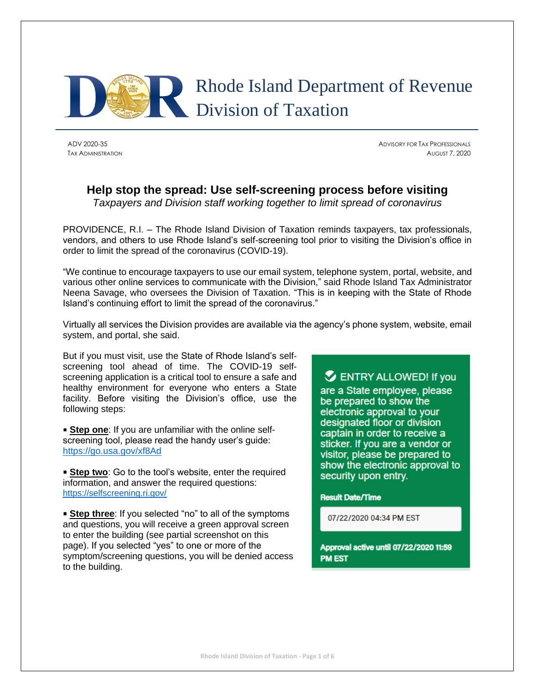

ADV 2020-35 ADVISORY FOR TAX PROFESSIONALS TAX ADMINISTRATION **AUGUST 7, 2020** 

## **Help stop the spread: Use self-screening process before visiting**

*Taxpayers and Division staff working together to limit spread of coronavirus*

PROVIDENCE, R.I. – The Rhode Island Division of Taxation reminds taxpayers, tax professionals, vendors, and others to use Rhode Island's self-screening tool prior to visiting the Division's office in order to limit the spread of the coronavirus (COVID-19).

"We continue to encourage taxpayers to use our email system, telephone system, portal, website, and various other online services to communicate with the Division," said Rhode Island Tax Administrator Neena Savage, who oversees the Division of Taxation. "This is in keeping with the State of Rhode Island's continuing effort to limit the spread of the coronavirus."

Virtually all services the Division provides are available via the agency's phone system, website, email system, and portal, she said.

But if you must visit, use the State of Rhode Island's selfscreening tool ahead of time. The COVID-19 selfscreening application is a critical tool to ensure a safe and healthy environment for everyone who enters a State facility. Before visiting the Division's office, use the following steps:

**Example 3 Step one:** If you are unfamiliar with the online selfscreening tool, please read the handy user's guide: <https://go.usa.gov/xf8Ad>

**Example 3 Step two:** Go to the tool's website, enter the required information, and answer the required questions: <https://selfscreening.ri.gov/>

**Example 1** Step three: If you selected "no" to all of the symptoms and questions, you will receive a green approval screen to enter the building (see partial screenshot on this page). If you selected "yes" to one or more of the symptom/screening questions, you will be denied access to the building.

ENTRY ALLOWED! If you are a State employee, please be prepared to show the electronic approval to your designated floor or division captain in order to receive a sticker. If you are a vendor or visitor, please be prepared to show the electronic approval to security upon entry.

**Result Date/Time** 

07/22/2020 04:34 PM EST

Approval active until 07/22/2020 11:59 **PM EST**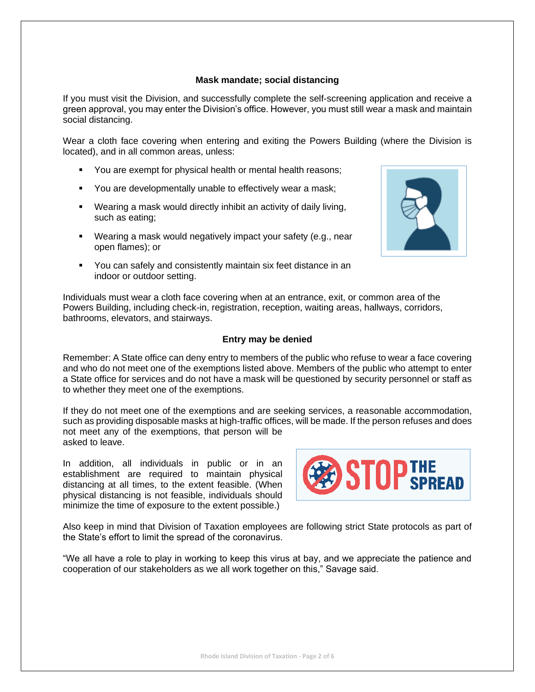#### **Mask mandate; social distancing**

If you must visit the Division, and successfully complete the self-screening application and receive a green approval, you may enter the Division's office. However, you must still wear a mask and maintain social distancing.

Wear a cloth face covering when entering and exiting the Powers Building (where the Division is located), and in all common areas, unless:

- You are exempt for physical health or mental health reasons;
- You are developmentally unable to effectively wear a mask;
- Wearing a mask would directly inhibit an activity of daily living, such as eating;
- Wearing a mask would negatively impact your safety (e.g., near open flames); or
- You can safely and consistently maintain six feet distance in an indoor or outdoor setting.

Individuals must wear a cloth face covering when at an entrance, exit, or common area of the Powers Building, including check-in, registration, reception, waiting areas, hallways, corridors, bathrooms, elevators, and stairways.

#### **Entry may be denied**

Remember: A State office can deny entry to members of the public who refuse to wear a face covering and who do not meet one of the exemptions listed above. Members of the public who attempt to enter a State office for services and do not have a mask will be questioned by security personnel or staff as to whether they meet one of the exemptions.

If they do not meet one of the exemptions and are seeking services, a reasonable accommodation, such as providing disposable masks at high-traffic offices, will be made. If the person refuses and does not meet any of the exemptions, that person will be asked to leave.

In addition, all individuals in public or in an establishment are required to maintain physical distancing at all times, to the extent feasible. (When physical distancing is not feasible, individuals should minimize the time of exposure to the extent possible.)



Also keep in mind that Division of Taxation employees are following strict State protocols as part of the State's effort to limit the spread of the coronavirus.

"We all have a role to play in working to keep this virus at bay, and we appreciate the patience and cooperation of our stakeholders as we all work together on this," Savage said.

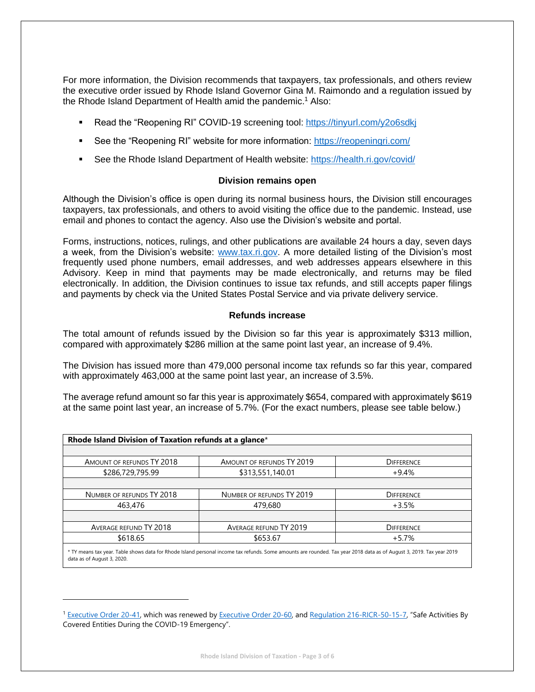For more information, the Division recommends that taxpayers, tax professionals, and others review the executive order issued by Rhode Island Governor Gina M. Raimondo and a regulation issued by the Rhode Island Department of Health amid the pandemic.<sup>1</sup> Also:

- Read the "Reopening RI" COVID-19 screening tool:<https://tinyurl.com/y2o6sdkj>
- See the "Reopening RI" website for more information:<https://reopeningri.com/>
- See the Rhode Island Department of Health website:<https://health.ri.gov/covid/>

#### **Division remains open**

Although the Division's office is open during its normal business hours, the Division still encourages taxpayers, tax professionals, and others to avoid visiting the office due to the pandemic. Instead, use email and phones to contact the agency. Also use the Division's website and portal.

Forms, instructions, notices, rulings, and other publications are available 24 hours a day, seven days a week, from the Division's website: [www.tax.ri.gov.](http://www.tax.ri.gov/) A more detailed listing of the Division's most frequently used phone numbers, email addresses, and web addresses appears elsewhere in this Advisory. Keep in mind that payments may be made electronically, and returns may be filed electronically. In addition, the Division continues to issue tax refunds, and still accepts paper filings and payments by check via the United States Postal Service and via private delivery service.

#### **Refunds increase**

The total amount of refunds issued by the Division so far this year is approximately \$313 million, compared with approximately \$286 million at the same point last year, an increase of 9.4%.

The Division has issued more than 479,000 personal income tax refunds so far this year, compared with approximately 463,000 at the same point last year, an increase of 3.5%.

The average refund amount so far this year is approximately \$654, compared with approximately \$619 at the same point last year, an increase of 5.7%. (For the exact numbers, please see table below.)

| Rhode Island Division of Taxation refunds at a glance* |                           |                   |  |
|--------------------------------------------------------|---------------------------|-------------------|--|
|                                                        |                           |                   |  |
| AMOUNT OF REFUNDS TY 2018                              | AMOUNT OF REFUNDS TY 2019 | <b>DIFFERENCE</b> |  |
| \$286,729,795.99                                       | \$313,551,140.01          | $+9.4%$           |  |
|                                                        |                           |                   |  |
| NUMBER OF REFUNDS TY 2018                              | NUMBER OF REFUNDS TY 2019 | <b>DIFFERENCE</b> |  |
| 463,476                                                | 479,680                   | $+3.5%$           |  |
|                                                        |                           |                   |  |
| AVERAGE REFUND TY 2018                                 | AVERAGE REFUND TY 2019    | <b>DIFFERENCE</b> |  |
| \$618.65                                               | \$653.67                  | $+5.7%$           |  |

\* TY means tax year. Table shows data for Rhode Island personal income tax refunds. Some amounts are rounded. Tax year 2018 data as of August 3, 2019. Tax year 2019 data as of August 3, 2020.

<sup>&</sup>lt;sup>1</sup> [Executive Order 20-41,](https://governor.ri.gov/documents/orders/Executive-Order-20-41.pdf) which was renewed by [Executive Order 20-60,](https://governor.ri.gov/documents/orders/Executive-Order-20-60.pdf) an[d Regulation 216-RICR-50-15-7](https://risos-apa-production-public.s3.amazonaws.com/DOH/REG_11139_20200708145414.pdf), "Safe Activities By Covered Entities During the COVID-19 Emergency".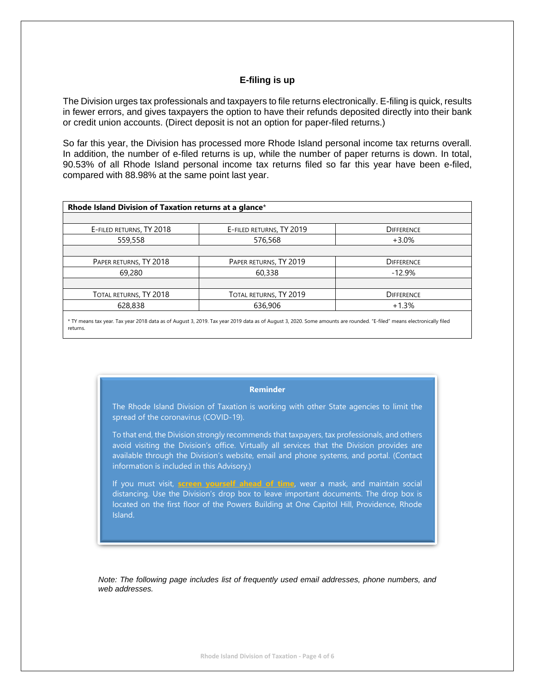#### **E-filing is up**

The Division urges tax professionals and taxpayers to file returns electronically. E-filing is quick, results in fewer errors, and gives taxpayers the option to have their refunds deposited directly into their bank or credit union accounts. (Direct deposit is not an option for paper-filed returns.)

So far this year, the Division has processed more Rhode Island personal income tax returns overall. In addition, the number of e-filed returns is up, while the number of paper returns is down. In total, 90.53% of all Rhode Island personal income tax returns filed so far this year have been e-filed, compared with 88.98% at the same point last year.

| Rhode Island Division of Taxation returns at a glance* |                          |                   |
|--------------------------------------------------------|--------------------------|-------------------|
| E-FILED RETURNS, TY 2018                               | E-FILED RETURNS, TY 2019 | <b>DIFFERENCE</b> |
| 559,558                                                | 576,568                  | $+3.0%$           |
|                                                        |                          |                   |
| PAPER RETURNS, TY 2018                                 | PAPER RETURNS, TY 2019   | <b>DIFFERENCE</b> |
| 69,280                                                 | 60,338                   | $-12.9%$          |
|                                                        |                          |                   |
| TOTAL RETURNS, TY 2018                                 | TOTAL RETURNS, TY 2019   | <b>DIFFERENCE</b> |
| 628,838                                                | 636,906                  | $+1.3%$           |

\* TY means tax year. Tax year 2018 data as of August 3, 2019. Tax year 2019 data as of August 3, 2020. Some amounts are rounded. "E-filed" means electronically filed returns.

**Reminder**

The Rhode Island Division of Taxation is working with other State agencies to limit the spread of the coronavirus (COVID-19).

To that end, the Division strongly recommends that taxpayers, tax professionals, and others avoid visiting the Division's office. Virtually all services that the Division provides are available through the Division's website, email and phone systems, and portal. (Contact information is included in this Advisory.)

If you must visit, **[screen yourself ahead of time](https://selfscreening.ri.gov/)**, wear a mask, and maintain social distancing. Use the Division's drop box to leave important documents. The drop box is located on the first floor of the Powers Building at One Capitol Hill, Providence, Rhode Island.

*Note: The following page includes list of frequently used email addresses, phone numbers, and web addresses.*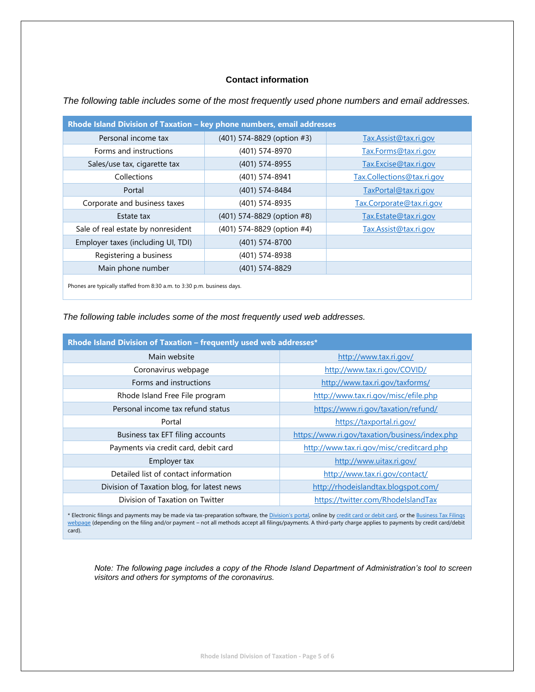#### **Contact information**

| Rhode Island Division of Taxation - key phone numbers, email addresses  |                            |                            |
|-------------------------------------------------------------------------|----------------------------|----------------------------|
| Personal income tax                                                     | (401) 574-8829 (option #3) | Tax.Assist@tax.ri.gov      |
| Forms and instructions                                                  | (401) 574-8970             | Tax.Forms@tax.ri.gov       |
| Sales/use tax, cigarette tax                                            | (401) 574-8955             | Tax.Excise@tax.ri.gov      |
| Collections                                                             | (401) 574-8941             | Tax.Collections@tax.ri.gov |
| Portal                                                                  | (401) 574-8484             | TaxPortal@tax.ri.gov       |
| Corporate and business taxes                                            | (401) 574-8935             | Tax.Corporate@tax.ri.gov   |
| Estate tax                                                              | (401) 574-8829 (option #8) | Tax.Estate@tax.ri.gov      |
| Sale of real estate by nonresident                                      | (401) 574-8829 (option #4) | Tax.Assist@tax.ri.gov      |
| Employer taxes (including UI, TDI)                                      | (401) 574-8700             |                            |
| Registering a business                                                  | (401) 574-8938             |                            |
| Main phone number                                                       | (401) 574-8829             |                            |
| Phones are typically staffed from 8:30 a.m. to 3:30 p.m. business days. |                            |                            |

*The following table includes some of the most frequently used phone numbers and email addresses.*

*The following table includes some of the most frequently used web addresses.*

| Rhode Island Division of Taxation - frequently used web addresses* |  |  |  |  |
|--------------------------------------------------------------------|--|--|--|--|
| http://www.tax.ri.gov/                                             |  |  |  |  |
| http://www.tax.ri.gov/COVID/                                       |  |  |  |  |
| http://www.tax.ri.gov/taxforms/                                    |  |  |  |  |
| http://www.tax.ri.gov/misc/efile.php                               |  |  |  |  |
| https://www.ri.gov/taxation/refund/                                |  |  |  |  |
| https://taxportal.ri.gov/                                          |  |  |  |  |
| https://www.ri.gov/taxation/business/index.php                     |  |  |  |  |
| http://www.tax.ri.gov/misc/creditcard.php                          |  |  |  |  |
| http://www.uitax.ri.gov/                                           |  |  |  |  |
| http://www.tax.ri.gov/contact/                                     |  |  |  |  |
| http://rhodeislandtax.blogspot.com/                                |  |  |  |  |
| https://twitter.com/RhodelslandTax                                 |  |  |  |  |
|                                                                    |  |  |  |  |

\* Electronic filings and payments may be made via tax-preparation software, the [Division's portal](https://taxportal.ri.gov/), online b[y credit card or debit card,](http://www.tax.ri.gov/misc/creditcard.php) or the Business Tax Filings [webpage](https://www.ri.gov/taxation/business/index.php) (depending on the filing and/or payment – not all methods accept all filings/payments. A third-party charge applies to payments by credit card/debit card).

*Note: The following page includes a copy of the Rhode Island Department of Administration's tool to screen visitors and others for symptoms of the coronavirus.*